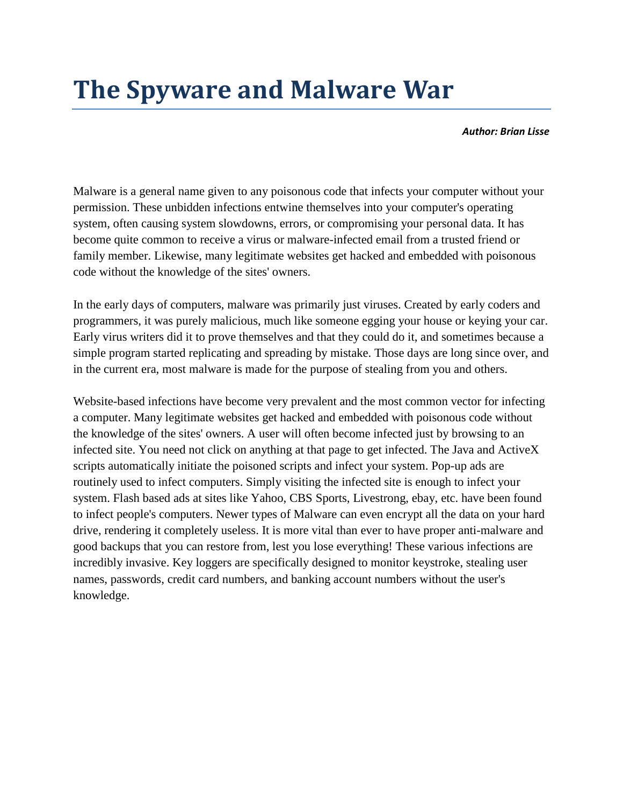## **The Spyware and Malware War**

*Author: Brian Lisse*

Malware is a general name given to any poisonous code that infects your computer without your permission. These unbidden infections entwine themselves into your computer's operating system, often causing system slowdowns, errors, or compromising your personal data. It has become quite common to receive a virus or malware-infected email from a trusted friend or family member. Likewise, many legitimate websites get hacked and embedded with poisonous code without the knowledge of the sites' owners.

In the early days of computers, malware was primarily just viruses. Created by early coders and programmers, it was purely malicious, much like someone egging your house or keying your car. Early virus writers did it to prove themselves and that they could do it, and sometimes because a simple program started replicating and spreading by mistake. Those days are long since over, and in the current era, most malware is made for the purpose of stealing from you and others.

Website-based infections have become very prevalent and the most common vector for infecting a computer. Many legitimate websites get hacked and embedded with poisonous code without the knowledge of the sites' owners. A user will often become infected just by browsing to an infected site. You need not click on anything at that page to get infected. The Java and ActiveX scripts automatically initiate the poisoned scripts and infect your system. Pop-up ads are routinely used to infect computers. Simply visiting the infected site is enough to infect your system. Flash based ads at sites like Yahoo, CBS Sports, Livestrong, ebay, etc. have been found to infect people's computers. Newer types of Malware can even encrypt all the data on your hard drive, rendering it completely useless. It is more vital than ever to have proper anti-malware and good backups that you can restore from, lest you lose everything! These various infections are incredibly invasive. Key loggers are specifically designed to monitor keystroke, stealing user names, passwords, credit card numbers, and banking account numbers without the user's knowledge.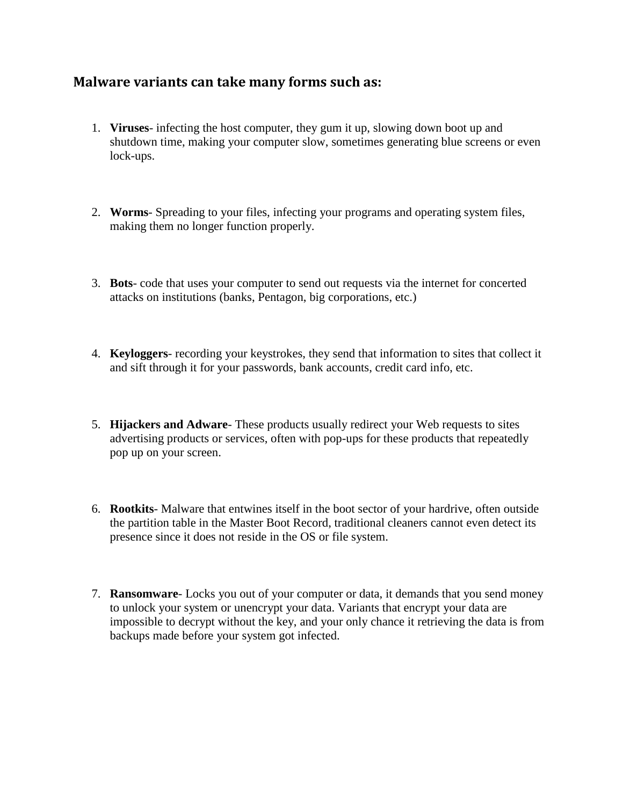## **Malware variants can take many forms such as:**

- 1. **Viruses** infecting the host computer, they gum it up, slowing down boot up and shutdown time, making your computer slow, sometimes generating blue screens or even lock-ups.
- 2. **Worms** Spreading to your files, infecting your programs and operating system files, making them no longer function properly.
- 3. **Bots** code that uses your computer to send out requests via the internet for concerted attacks on institutions (banks, Pentagon, big corporations, etc.)
- 4. **Keyloggers** recording your keystrokes, they send that information to sites that collect it and sift through it for your passwords, bank accounts, credit card info, etc.
- 5. **Hijackers and Adware** These products usually redirect your Web requests to sites advertising products or services, often with pop-ups for these products that repeatedly pop up on your screen.
- 6. **Rootkits** Malware that entwines itself in the boot sector of your hardrive, often outside the partition table in the Master Boot Record, traditional cleaners cannot even detect its presence since it does not reside in the OS or file system.
- 7. **Ransomware** Locks you out of your computer or data, it demands that you send money to unlock your system or unencrypt your data. Variants that encrypt your data are impossible to decrypt without the key, and your only chance it retrieving the data is from backups made before your system got infected.